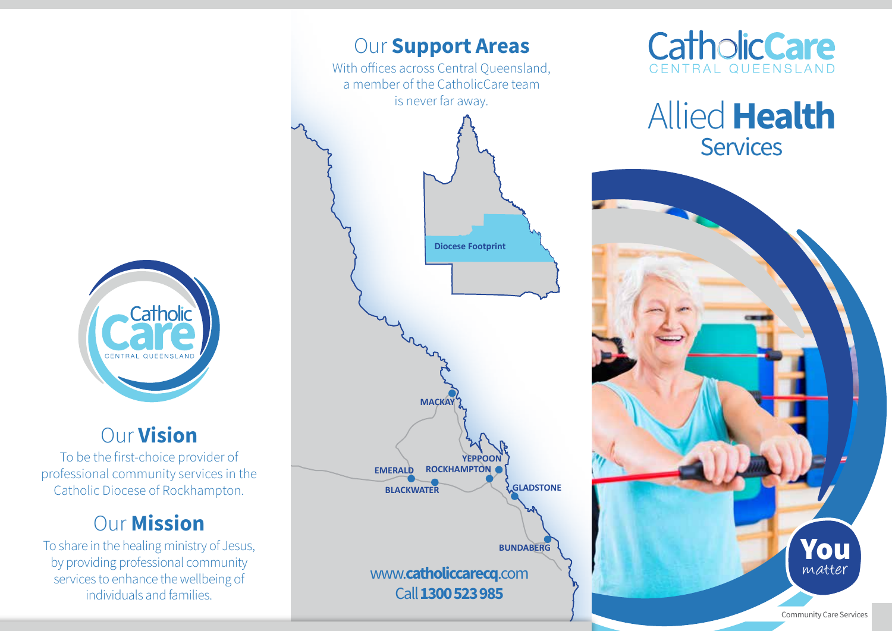

## Our Vision

To be the first-choice provider of professional community services in the Catholic Diocese of Rockhampton.

## **Our Mission**

To share in the healing ministry of Jesus, by providing professional community services to enhance the wellbeing of individuals and families.





Allied Health **Services**